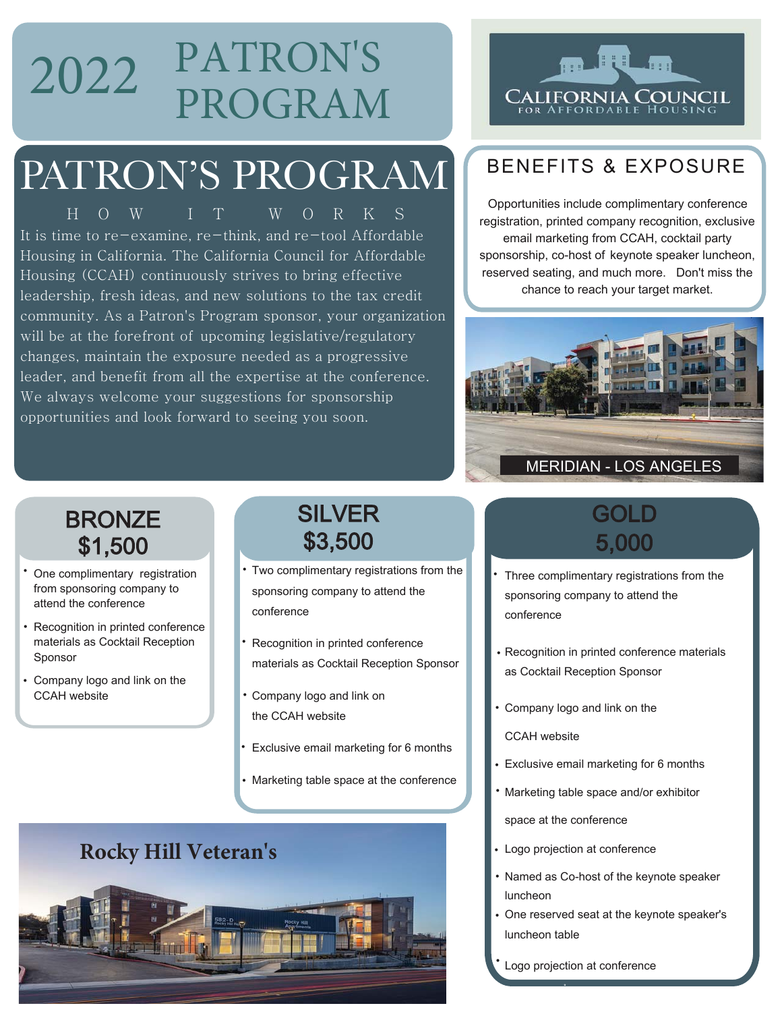## 2022 PATRON'S PROGRAM

## PATRON'S PROGRAM

HOW IT WORKS It is time to re-examine, re-think, and re-tool Affordable Housing in California. The California Council for Affordable Housing (CCAH) continuously strives to bring effective leadership, fresh ideas, and new solutions to the tax credit community. As a Patron's Program sponsor, your organization will be at the forefront of upcoming legislative/regulatory changes, maintain the exposure needed as a progressive leader, and benefit from all the expertise at the conference. We always welcome your suggestions for sponsorship opportunities and look forward to seeing you soon.

### **ATHE** 'Alifornia Council

#### RENEFITS & EXPOSURE

Opportunities include complimentary conference registration, printed company recognition, exclusive email marketing from CCAH, cocktail party sponsorship, co-host of keynote speaker luncheon, reserved seating, and much more. Don't miss the chance to reach your target market.



#### **BRONZE** \$1,500

- One complimentary registration from sponsoring company to attend the conference
- Recognition in printed conference materials as Cocktail Reception Sponsor
- Company logo and link on the CCAH website

#### SILVER \$3,500

- Two complimentary registrations from the sponsoring company to attend the conference
- Recognition in printed conference materials as Cocktail Reception Sponsor
- Company logo and link on the CCAH website
- Exclusive email marketing for 6 months
- Marketing table space at the conference

# **Rocky Hill Veteran's**

#### GOI D 5,000

- Three complimentary registrations from the sponsoring company to attend the conference •
- Recognition in printed conference materials as Cocktail Reception Sponsor
- Company logo and link on the
	- CCAH website
- Exclusive email marketing for 6 months
- Marketing table space and/or exhibitor •

space at the conference

- Logo projection at conference
- Named as Co-host of the keynote speaker luncheon
- One reserved seat at the keynote speaker's luncheon table
- Logo projection at conference •